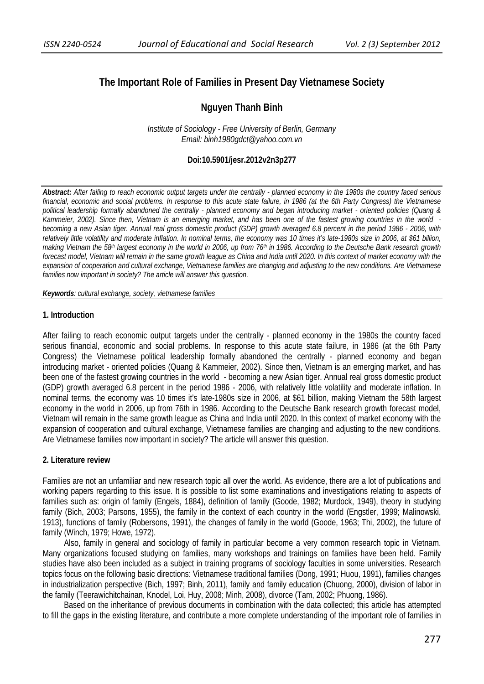# **The Important Role of Families in Present Day Vietnamese Society**

# **Nguyen Thanh Binh**

*Institute of Sociology - Free University of Berlin, Germany Email: binh1980gdct@yahoo.com.vn* 

# **Doi:10.5901/jesr.2012v2n3p277**

*Abstract: After failing to reach economic output targets under the centrally - planned economy in the 1980s the country faced serious financial, economic and social problems. In response to this acute state failure, in 1986 (at the 6th Party Congress) the Vietnamese political leadership formally abandoned the centrally - planned economy and began introducing market - oriented policies (Quang & Kammeier, 2002). Since then, Vietnam is an emerging market, and has been one of the fastest growing countries in the world becoming a new Asian tiger. Annual real gross domestic product (GDP) growth averaged 6.8 percent in the period 1986 - 2006, with relatively little volatility and moderate inflation. In nominal terms, the economy was 10 times it's late-1980s size in 2006, at \$61 billion, making Vietnam the 58th largest economy in the world in 2006, up from 76th in 1986. According to the Deutsche Bank research growth forecast model, Vietnam will remain in the same growth league as China and India until 2020. In this context of market economy with the expansion of cooperation and cultural exchange, Vietnamese families are changing and adjusting to the new conditions. Are Vietnamese families now important in society? The article will answer this question.*

*Keywords: cultural exchange, society, vietnamese families* 

## **1. Introduction**

After failing to reach economic output targets under the centrally - planned economy in the 1980s the country faced serious financial, economic and social problems. In response to this acute state failure, in 1986 (at the 6th Party Congress) the Vietnamese political leadership formally abandoned the centrally - planned economy and began introducing market - oriented policies (Quang & Kammeier, 2002). Since then, Vietnam is an emerging market, and has been one of the fastest growing countries in the world - becoming a new Asian tiger. Annual real gross domestic product (GDP) growth averaged 6.8 percent in the period 1986 - 2006, with relatively little volatility and moderate inflation. In nominal terms, the economy was 10 times it's late-1980s size in 2006, at \$61 billion, making Vietnam the 58th largest economy in the world in 2006, up from 76th in 1986. According to the Deutsche Bank research growth forecast model, Vietnam will remain in the same growth league as China and India until 2020. In this context of market economy with the expansion of cooperation and cultural exchange, Vietnamese families are changing and adjusting to the new conditions. Are Vietnamese families now important in society? The article will answer this question.

## **2. Literature review**

Families are not an unfamiliar and new research topic all over the world. As evidence, there are a lot of publications and working papers regarding to this issue. It is possible to list some examinations and investigations relating to aspects of families such as: origin of family (Engels, 1884), definition of family (Goode, 1982; Murdock, 1949), theory in studying family (Bich, 2003; Parsons, 1955), the family in the context of each country in the world (Engstler, 1999; Malinowski, 1913), functions of family (Robersons, 1991), the changes of family in the world (Goode, 1963; Thi, 2002), the future of family (Winch, 1979; Howe, 1972).

Also, family in general and sociology of family in particular become a very common research topic in Vietnam. Many organizations focused studying on families, many workshops and trainings on families have been held. Family studies have also been included as a subject in training programs of sociology faculties in some universities. Research topics focus on the following basic directions: Vietnamese traditional families (Dong, 1991; Huou, 1991), families changes in industrialization perspective (Bich, 1997; Binh, 2011), family and family education (Chuong, 2000), division of labor in the family (Teerawichitchainan, Knodel, Loi, Huy, 2008; Minh, 2008), divorce (Tam, 2002; Phuong, 1986).

Based on the inheritance of previous documents in combination with the data collected; this article has attempted to fill the gaps in the existing literature, and contribute a more complete understanding of the important role of families in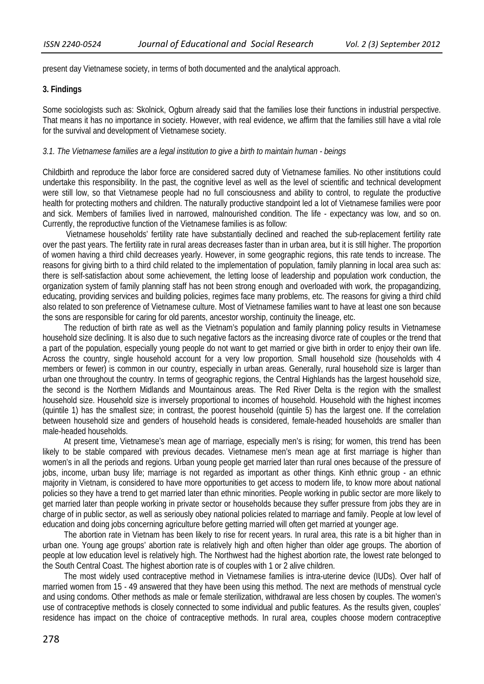present day Vietnamese society, in terms of both documented and the analytical approach.

# **3. Findings**

Some sociologists such as: Skolnick, Ogburn already said that the families lose their functions in industrial perspective. That means it has no importance in society. However, with real evidence, we affirm that the families still have a vital role for the survival and development of Vietnamese society.

# *3.1. The Vietnamese families are a legal institution to give a birth to maintain human - beings*

Childbirth and reproduce the labor force are considered sacred duty of Vietnamese families. No other institutions could undertake this responsibility. In the past, the cognitive level as well as the level of scientific and technical development were still low, so that Vietnamese people had no full consciousness and ability to control, to regulate the productive health for protecting mothers and children. The naturally productive standpoint led a lot of Vietnamese families were poor and sick. Members of families lived in narrowed, malnourished condition. The life - expectancy was low, and so on. Currently, the reproductive function of the Vietnamese families is as follow:

 Vietnamese households' fertility rate have substantially declined and reached the sub-replacement fertility rate over the past years. The fertility rate in rural areas decreases faster than in urban area, but it is still higher. The proportion of women having a third child decreases yearly. However, in some geographic regions, this rate tends to increase. The reasons for giving birth to a third child related to the implementation of population, family planning in local area such as: there is self-satisfaction about some achievement, the letting loose of leadership and population work conduction, the organization system of family planning staff has not been strong enough and overloaded with work, the propagandizing, educating, providing services and building policies, regimes face many problems, etc. The reasons for giving a third child also related to son preference of Vietnamese culture. Most of Vietnamese families want to have at least one son because the sons are responsible for caring for old parents, ancestor worship, continuity the lineage, etc.

The reduction of birth rate as well as the Vietnam's population and family planning policy results in Vietnamese household size declining. It is also due to such negative factors as the increasing divorce rate of couples or the trend that a part of the population, especially young people do not want to get married or give birth in order to enjoy their own life. Across the country, single household account for a very low proportion. Small household size (households with 4 members or fewer) is common in our country, especially in urban areas. Generally, rural household size is larger than urban one throughout the country. In terms of geographic regions, the Central Highlands has the largest household size, the second is the Northern Midlands and Mountainous areas. The Red River Delta is the region with the smallest household size. Household size is inversely proportional to incomes of household. Household with the highest incomes (quintile 1) has the smallest size; in contrast, the poorest household (quintile 5) has the largest one. If the correlation between household size and genders of household heads is considered, female-headed households are smaller than male-headed households.

At present time, Vietnamese's mean age of marriage, especially men's is rising; for women, this trend has been likely to be stable compared with previous decades. Vietnamese men's mean age at first marriage is higher than women's in all the periods and regions. Urban young people get married later than rural ones because of the pressure of jobs, income, urban busy life; marriage is not regarded as important as other things. Kinh ethnic group - an ethnic majority in Vietnam, is considered to have more opportunities to get access to modern life, to know more about national policies so they have a trend to get married later than ethnic minorities. People working in public sector are more likely to get married later than people working in private sector or households because they suffer pressure from jobs they are in charge of in public sector, as well as seriously obey national policies related to marriage and family. People at low level of education and doing jobs concerning agriculture before getting married will often get married at younger age.

The abortion rate in Vietnam has been likely to rise for recent years. In rural area, this rate is a bit higher than in urban one. Young age groups' abortion rate is relatively high and often higher than older age groups. The abortion of people at low education level is relatively high. The Northwest had the highest abortion rate, the lowest rate belonged to the South Central Coast. The highest abortion rate is of couples with 1 or 2 alive children.

The most widely used contraceptive method in Vietnamese families is intra-uterine device (IUDs). Over half of married women from 15 - 49 answered that they have been using this method. The next are methods of menstrual cycle and using condoms. Other methods as male or female sterilization, withdrawal are less chosen by couples. The women's use of contraceptive methods is closely connected to some individual and public features. As the results given, couples' residence has impact on the choice of contraceptive methods. In rural area, couples choose modern contraceptive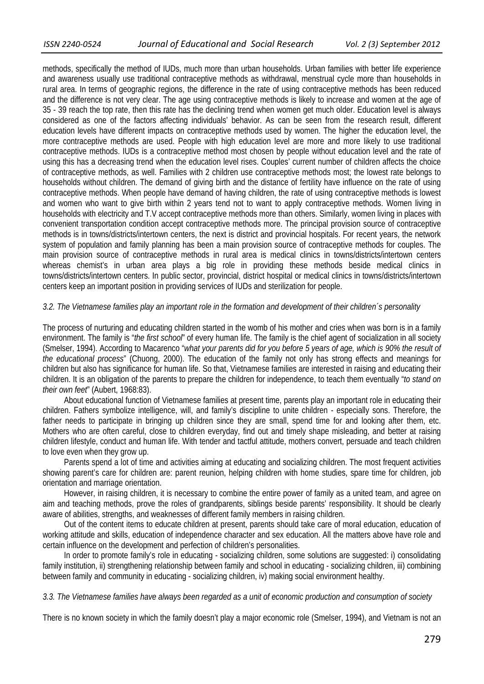methods, specifically the method of IUDs, much more than urban households. Urban families with better life experience and awareness usually use traditional contraceptive methods as withdrawal, menstrual cycle more than households in rural area. In terms of geographic regions, the difference in the rate of using contraceptive methods has been reduced and the difference is not very clear. The age using contraceptive methods is likely to increase and women at the age of 35 - 39 reach the top rate, then this rate has the declining trend when women get much older. Education level is always considered as one of the factors affecting individuals' behavior. As can be seen from the research result, different education levels have different impacts on contraceptive methods used by women. The higher the education level, the more contraceptive methods are used. People with high education level are more and more likely to use traditional contraceptive methods. IUDs is a contraceptive method most chosen by people without education level and the rate of using this has a decreasing trend when the education level rises. Couples' current number of children affects the choice of contraceptive methods, as well. Families with 2 children use contraceptive methods most; the lowest rate belongs to households without children. The demand of giving birth and the distance of fertility have influence on the rate of using contraceptive methods. When people have demand of having children, the rate of using contraceptive methods is lowest and women who want to give birth within 2 years tend not to want to apply contraceptive methods. Women living in households with electricity and T.V accept contraceptive methods more than others. Similarly, women living in places with convenient transportation condition accept contraceptive methods more. The principal provision source of contraceptive methods is in towns/districts/intertown centers, the next is district and provincial hospitals. For recent years, the network system of population and family planning has been a main provision source of contraceptive methods for couples. The main provision source of contraceptive methods in rural area is medical clinics in towns/districts/intertown centers whereas chemist's in urban area plays a big role in providing these methods beside medical clinics in towns/districts/intertown centers. In public sector, provincial, district hospital or medical clinics in towns/districts/intertown centers keep an important position in providing services of IUDs and sterilization for people.

#### *3.2. The Vietnamese families play an important role in the formation and development of their children´s personality*

The process of nurturing and educating children started in the womb of his mother and cries when was born is in a family environment. The family is "*the first school*" of every human life. The family is the chief agent of socialization in all society (Smelser, 1994). According to Macarenco "*what your parents did for you before 5 years of age, which is 90% the result of the educational process*" (Chuong, 2000). The education of the family not only has strong effects and meanings for children but also has significance for human life. So that, Vietnamese families are interested in raising and educating their children. It is an obligation of the parents to prepare the children for independence, to teach them eventually "*to stand on their own feet*" (Aubert, 1968:83).

About educational function of Vietnamese families at present time, parents play an important role in educating their children. Fathers symbolize intelligence, will, and family's discipline to unite children - especially sons. Therefore, the father needs to participate in bringing up children since they are small, spend time for and looking after them, etc. Mothers who are often careful, close to children everyday, find out and timely shape misleading, and better at raising children lifestyle, conduct and human life. With tender and tactful attitude, mothers convert, persuade and teach children to love even when they grow up.

Parents spend a lot of time and activities aiming at educating and socializing children. The most frequent activities showing parent's care for children are: parent reunion, helping children with home studies, spare time for children, job orientation and marriage orientation.

However, in raising children, it is necessary to combine the entire power of family as a united team, and agree on aim and teaching methods, prove the roles of grandparents, siblings beside parents' responsibility. It should be clearly aware of abilities, strengths, and weaknesses of different family members in raising children.

Out of the content items to educate children at present, parents should take care of moral education, education of working attitude and skills, education of independence character and sex education. All the matters above have role and certain influence on the development and perfection of children's personalities.

In order to promote family's role in educating - socializing children, some solutions are suggested: i) consolidating family institution, ii) strengthening relationship between family and school in educating - socializing children, iii) combining between family and community in educating - socializing children, iv) making social environment healthy.

## *3.3. The Vietnamese families have always been regarded as a unit of economic production and consumption of society*

There is no known society in which the family doesn't play a major economic role (Smelser, 1994), and Vietnam is not an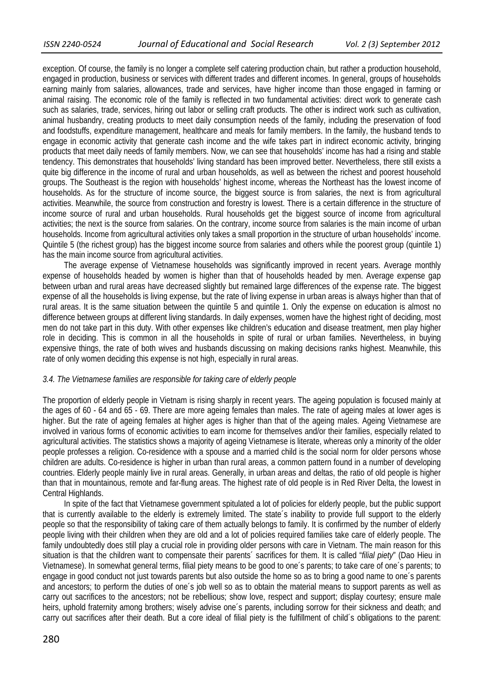exception. Of course, the family is no longer a complete self catering production chain, but rather a production household, engaged in production, business or services with different trades and different incomes. In general, groups of households earning mainly from salaries, allowances, trade and services, have higher income than those engaged in farming or animal raising. The economic role of the family is reflected in two fundamental activities: direct work to generate cash such as salaries, trade, services, hiring out labor or selling craft products. The other is indirect work such as cultivation, animal husbandry, creating products to meet daily consumption needs of the family, including the preservation of food and foodstuffs, expenditure management, healthcare and meals for family members. In the family, the husband tends to engage in economic activity that generate cash income and the wife takes part in indirect economic activity, bringing products that meet daily needs of family members. Now, we can see that households' income has had a rising and stable tendency. This demonstrates that households' living standard has been improved better. Nevertheless, there still exists a quite big difference in the income of rural and urban households, as well as between the richest and poorest household groups. The Southeast is the region with households' highest income, whereas the Northeast has the lowest income of households. As for the structure of income source, the biggest source is from salaries, the next is from agricultural activities. Meanwhile, the source from construction and forestry is lowest. There is a certain difference in the structure of income source of rural and urban households. Rural households get the biggest source of income from agricultural activities; the next is the source from salaries. On the contrary, income source from salaries is the main income of urban households. Income from agricultural activities only takes a small proportion in the structure of urban households' income. Quintile 5 (the richest group) has the biggest income source from salaries and others while the poorest group (quintile 1) has the main income source from agricultural activities.

The average expense of Vietnamese households was significantly improved in recent years. Average monthly expense of households headed by women is higher than that of households headed by men. Average expense gap between urban and rural areas have decreased slightly but remained large differences of the expense rate. The biggest expense of all the households is living expense, but the rate of living expense in urban areas is always higher than that of rural areas. It is the same situation between the quintile 5 and quintile 1. Only the expense on education is almost no difference between groups at different living standards. In daily expenses, women have the highest right of deciding, most men do not take part in this duty. With other expenses like children's education and disease treatment, men play higher role in deciding. This is common in all the households in spite of rural or urban families. Nevertheless, in buying expensive things, the rate of both wives and husbands discussing on making decisions ranks highest. Meanwhile, this rate of only women deciding this expense is not high, especially in rural areas.

#### *3.4. The Vietnamese families are responsible for taking care of elderly people*

The proportion of elderly people in Vietnam is rising sharply in recent years. The ageing population is focused mainly at the ages of 60 - 64 and 65 - 69. There are more ageing females than males. The rate of ageing males at lower ages is higher. But the rate of ageing females at higher ages is higher than that of the ageing males. Ageing Vietnamese are involved in various forms of economic activities to earn income for themselves and/or their families, especially related to agricultural activities. The statistics shows a majority of ageing Vietnamese is literate, whereas only a minority of the older people professes a religion. Co-residence with a spouse and a married child is the social norm for older persons whose children are adults. Co-residence is higher in urban than rural areas, a common pattern found in a number of developing countries. Elderly people mainly live in rural areas. Generally, in urban areas and deltas, the ratio of old people is higher than that in mountainous, remote and far-flung areas. The highest rate of old people is in Red River Delta, the lowest in Central Highlands.

In spite of the fact that Vietnamese government spitulated a lot of policies for elderly people, but the public support that is currently available to the elderly is extremely limited. The state´s inability to provide full support to the elderly people so that the responsibility of taking care of them actually belongs to family. It is confirmed by the number of elderly people living with their children when they are old and a lot of policies required families take care of elderly people. The family undoubtedly does still play a crucial role in providing older persons with care in Vietnam. The main reason for this situation is that the children want to compensate their parents´ sacrifices for them. It is called "*filial piety*" (Dao Hieu in Vietnamese). In somewhat general terms, filial piety means to be good to one´s parents; to take care of one´s parents; to engage in good conduct not just towards parents but also outside the home so as to bring a good name to one´s parents and ancestors; to perform the duties of one´s job well so as to obtain the material means to support parents as well as carry out sacrifices to the ancestors; not be rebellious; show love, respect and support; display courtesy; ensure male heirs, uphold fraternity among brothers; wisely advise one´s parents, including sorrow for their sickness and death; and carry out sacrifices after their death. But a core ideal of filial piety is the fulfillment of child´s obligations to the parent: